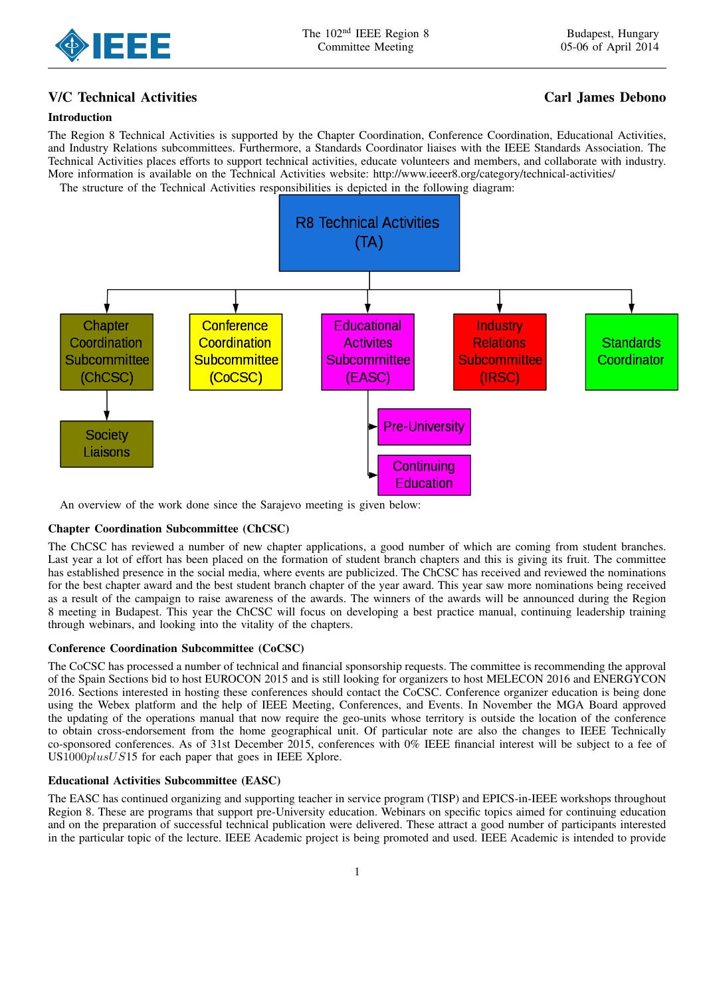

# V/C Technical Activities Carl James Debono

## Introduction

The Region 8 Technical Activities is supported by the Chapter Coordination, Conference Coordination, Educational Activities, and Industry Relations subcommittees. Furthermore, a Standards Coordinator liaises with the IEEE Standards Association. The Technical Activities places efforts to support technical activities, educate volunteers and members, and collaborate with industry. More information is available on the Technical Activities website: http://www.ieeer8.org/category/technical-activities/ The structure of the Technical Activities responsibilities is depicted in the following diagram:

**R8 Technical Activities**  $(TA)$ **Conference** Chapter Educational Industry Coordination **Activites Standards** Coordination **Relations** Subcommittee Subcommittee Coordinator Subcommittee Subcommittee  $(CoCSC)$ (EASC) (ChCSC)  $(IRSC)$ **Pre-University** Society Liaisons Continuing Education

An overview of the work done since the Sarajevo meeting is given below:

### Chapter Coordination Subcommittee (ChCSC)

The ChCSC has reviewed a number of new chapter applications, a good number of which are coming from student branches. Last year a lot of effort has been placed on the formation of student branch chapters and this is giving its fruit. The committee has established presence in the social media, where events are publicized. The ChCSC has received and reviewed the nominations for the best chapter award and the best student branch chapter of the year award. This year saw more nominations being received as a result of the campaign to raise awareness of the awards. The winners of the awards will be announced during the Region 8 meeting in Budapest. This year the ChCSC will focus on developing a best practice manual, continuing leadership training through webinars, and looking into the vitality of the chapters.

### Conference Coordination Subcommittee (CoCSC)

The CoCSC has processed a number of technical and financial sponsorship requests. The committee is recommending the approval of the Spain Sections bid to host EUROCON 2015 and is still looking for organizers to host MELECON 2016 and ENERGYCON 2016. Sections interested in hosting these conferences should contact the CoCSC. Conference organizer education is being done using the Webex platform and the help of IEEE Meeting, Conferences, and Events. In November the MGA Board approved the updating of the operations manual that now require the geo-units whose territory is outside the location of the conference to obtain cross-endorsement from the home geographical unit. Of particular note are also the changes to IEEE Technically co-sponsored conferences. As of 31st December 2015, conferences with 0% IEEE financial interest will be subject to a fee of US1000plusUS15 for each paper that goes in IEEE Xplore.

### Educational Activities Subcommittee (EASC)

The EASC has continued organizing and supporting teacher in service program (TISP) and EPICS-in-IEEE workshops throughout Region 8. These are programs that support pre-University education. Webinars on specific topics aimed for continuing education and on the preparation of successful technical publication were delivered. These attract a good number of participants interested in the particular topic of the lecture. IEEE Academic project is being promoted and used. IEEE Academic is intended to provide